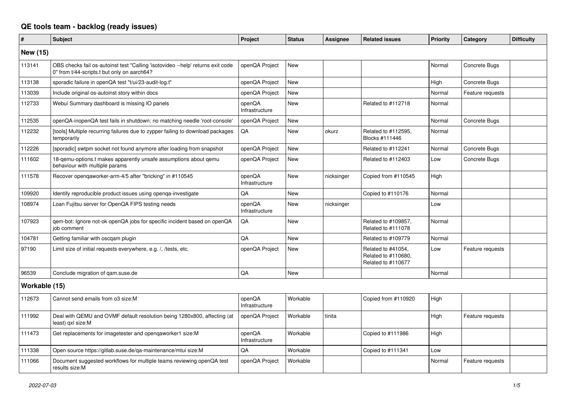## **QE tools team - backlog (ready issues)**

| $\vert$ #       | <b>Subject</b>                                                                                                                 | Project                  | <b>Status</b> | Assignee   | <b>Related issues</b>                                           | <b>Priority</b> | Category         | <b>Difficulty</b> |
|-----------------|--------------------------------------------------------------------------------------------------------------------------------|--------------------------|---------------|------------|-----------------------------------------------------------------|-----------------|------------------|-------------------|
| <b>New (15)</b> |                                                                                                                                |                          |               |            |                                                                 |                 |                  |                   |
| 113141          | OBS checks fail os-autoinst test "Calling 'isotovideo --help' returns exit code<br>0" from t/44-scripts.t but only on aarch64? | openQA Project           | <b>New</b>    |            |                                                                 | Normal          | Concrete Bugs    |                   |
| 113138          | sporadic failure in openQA test "t/ui/23-audit-log.t"                                                                          | openQA Project           | <b>New</b>    |            |                                                                 | High            | Concrete Bugs    |                   |
| 113039          | Include original os-autoinst story within docs                                                                                 | openQA Project           | <b>New</b>    |            |                                                                 | Normal          | Feature requests |                   |
| 112733          | Webui Summary dashboard is missing IO panels                                                                                   | openQA<br>Infrastructure | <b>New</b>    |            | Related to #112718                                              | Normal          |                  |                   |
| 112535          | openQA-inopenQA test fails in shutdown: no matching needle 'root-console'                                                      | openQA Project           | <b>New</b>    |            |                                                                 | Normal          | Concrete Bugs    |                   |
| 112232          | [tools] Multiple recurring failures due to zypper failing to download packages<br>temporarily                                  | QA                       | <b>New</b>    | okurz      | Related to #112595,<br>Blocks #111446                           | Normal          |                  |                   |
| 112226          | [sporadic] swtpm socket not found anymore after loading from snapshot                                                          | openQA Project           | <b>New</b>    |            | Related to #112241                                              | Normal          | Concrete Bugs    |                   |
| 111602          | 18-gemu-options.t makes apparently unsafe assumptions about gemu<br>behaviour with multiple params                             | openQA Project           | <b>New</b>    |            | Related to #112403                                              | Low             | Concrete Bugs    |                   |
| 111578          | Recover opengaworker-arm-4/5 after "bricking" in #110545                                                                       | openQA<br>Infrastructure | <b>New</b>    | nicksinger | Copied from #110545                                             | High            |                  |                   |
| 109920          | Identify reproducible product issues using openga-investigate                                                                  | QA                       | <b>New</b>    |            | Copied to #110176                                               | Normal          |                  |                   |
| 108974          | Loan Fujitsu server for OpenQA FIPS testing needs                                                                              | openQA<br>Infrastructure | <b>New</b>    | nicksinger |                                                                 | Low             |                  |                   |
| 107923          | gem-bot: Ignore not-ok openQA jobs for specific incident based on openQA<br>job comment                                        | QA                       | <b>New</b>    |            | Related to #109857,<br>Related to #111078                       | Normal          |                  |                   |
| 104781          | Getting familiar with oscgam plugin                                                                                            | QA                       | <b>New</b>    |            | Related to #109779                                              | Normal          |                  |                   |
| 97190           | Limit size of initial requests everywhere, e.g. /, /tests, etc.                                                                | openQA Project           | <b>New</b>    |            | Related to #41054.<br>Related to #110680,<br>Related to #110677 | Low             | Feature requests |                   |
| 96539           | Conclude migration of gam.suse.de                                                                                              | QA                       | <b>New</b>    |            |                                                                 | Normal          |                  |                   |
| Workable (15)   |                                                                                                                                |                          |               |            |                                                                 |                 |                  |                   |
| 112673          | Cannot send emails from o3 size:M                                                                                              | openQA<br>Infrastructure | Workable      |            | Copied from #110920                                             | High            |                  |                   |
| 111992          | Deal with QEMU and OVMF default resolution being 1280x800, affecting (at<br>least) gxl size:M                                  | openQA Project           | Workable      | tinita     |                                                                 | High            | Feature requests |                   |
| 111473          | Get replacements for imagetester and opengaworker1 size:M                                                                      | openQA<br>Infrastructure | Workable      |            | Copied to #111986                                               | High            |                  |                   |
| 111338          | Open source https://gitlab.suse.de/ga-maintenance/mtui size:M                                                                  | QA                       | Workable      |            | Copied to #111341                                               | Low             |                  |                   |
| 111066          | Document suggested workflows for multiple teams reviewing openQA test<br>results size:M                                        | openQA Project           | Workable      |            |                                                                 | Normal          | Feature requests |                   |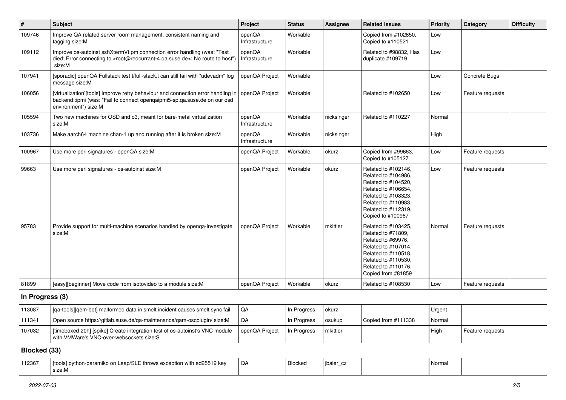| $\sharp$            | Subject                                                                                                                                                                                           | Project                  | <b>Status</b> | Assignee   | <b>Related issues</b>                                                                                                                                                              | Priority | Category         | <b>Difficulty</b> |
|---------------------|---------------------------------------------------------------------------------------------------------------------------------------------------------------------------------------------------|--------------------------|---------------|------------|------------------------------------------------------------------------------------------------------------------------------------------------------------------------------------|----------|------------------|-------------------|
| 109746              | Improve QA related server room management, consistent naming and<br>tagging size:M                                                                                                                | openQA<br>Infrastructure | Workable      |            | Copied from #102650,<br>Copied to #110521                                                                                                                                          | Low      |                  |                   |
| 109112              | Improve os-autoinst sshXtermVt.pm connection error handling (was: "Test<br>died: Error connecting to <root@redcurrant-4.qa.suse.de>: No route to host")<br/>size:M</root@redcurrant-4.qa.suse.de> | openQA<br>Infrastructure | Workable      |            | Related to #98832, Has<br>duplicate #109719                                                                                                                                        | Low      |                  |                   |
| 107941              | [sporadic] openQA Fullstack test t/full-stack.t can still fail with "udevadm" log<br>message size:M                                                                                               | openQA Project           | Workable      |            |                                                                                                                                                                                    | Low      | Concrete Bugs    |                   |
| 106056              | [virtualization][tools] Improve retry behaviour and connection error handling in<br>backend::ipmi (was: "Fail to connect openqaipmi5-sp.qa.suse.de on our osd<br>environment") size:M             | openQA Project           | Workable      |            | Related to #102650                                                                                                                                                                 | Low      | Feature requests |                   |
| 105594              | Two new machines for OSD and o3, meant for bare-metal virtualization<br>size:M                                                                                                                    | openQA<br>Infrastructure | Workable      | nicksinger | Related to #110227                                                                                                                                                                 | Normal   |                  |                   |
| 103736              | Make aarch64 machine chan-1 up and running after it is broken size:M                                                                                                                              | openQA<br>Infrastructure | Workable      | nicksinger |                                                                                                                                                                                    | High     |                  |                   |
| 100967              | Use more perl signatures - openQA size:M                                                                                                                                                          | openQA Project           | Workable      | okurz      | Copied from #99663,<br>Copied to #105127                                                                                                                                           | Low      | Feature requests |                   |
| 99663               | Use more perl signatures - os-autoinst size:M                                                                                                                                                     | openQA Project           | Workable      | okurz      | Related to #102146,<br>Related to #104986,<br>Related to #104520,<br>Related to #106654,<br>Related to #108323,<br>Related to #110983.<br>Related to #112319,<br>Copied to #100967 | Low      | Feature requests |                   |
| 95783               | Provide support for multi-machine scenarios handled by openqa-investigate<br>size:M                                                                                                               | openQA Project           | Workable      | mkittler   | Related to #103425,<br>Related to #71809,<br>Related to #69976,<br>Related to #107014,<br>Related to #110518,<br>Related to #110530,<br>Related to #110176,<br>Copied from #81859  | Normal   | Feature requests |                   |
| 81899               | [easy][beginner] Move code from isotovideo to a module size:M                                                                                                                                     | openQA Project           | Workable      | okurz      | Related to #108530                                                                                                                                                                 | Low      | Feature requests |                   |
| In Progress (3)     |                                                                                                                                                                                                   |                          |               |            |                                                                                                                                                                                    |          |                  |                   |
| 113087              | [qa-tools][qem-bot] malformed data in smelt incident causes smelt sync fail                                                                                                                       | QA                       | In Progress   | okurz      |                                                                                                                                                                                    | Urgent   |                  |                   |
| 111341              | Open source https://gitlab.suse.de/qa-maintenance/qam-oscplugin/ size:M                                                                                                                           | QA                       | In Progress   | osukup     | Copied from #111338                                                                                                                                                                | Normal   |                  |                   |
| 107032              | [timeboxed:20h] [spike] Create integration test of os-autoinst's VNC module<br>with VMWare's VNC-over-websockets size:S                                                                           | openQA Project           | In Progress   | mkittler   |                                                                                                                                                                                    | High     | Feature requests |                   |
| <b>Blocked (33)</b> |                                                                                                                                                                                                   |                          |               |            |                                                                                                                                                                                    |          |                  |                   |
| 112367              | [tools] python-paramiko on Leap/SLE throws exception with ed25519 key<br>size:M                                                                                                                   | QA                       | Blocked       | jbaier_cz  |                                                                                                                                                                                    | Normal   |                  |                   |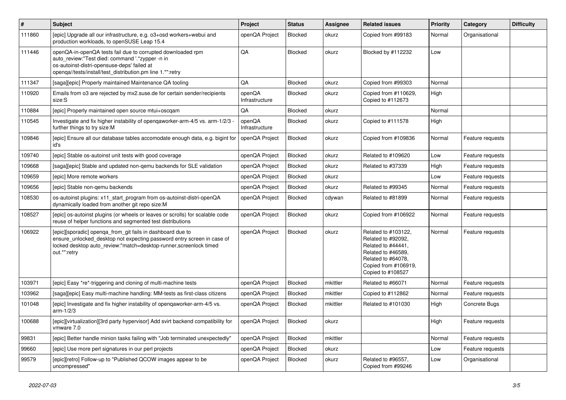| $\pmb{\#}$ | <b>Subject</b>                                                                                                                                                                                                              | Project                  | <b>Status</b>  | Assignee | <b>Related issues</b>                                                                                                                                    | <b>Priority</b> | Category         | <b>Difficulty</b> |
|------------|-----------------------------------------------------------------------------------------------------------------------------------------------------------------------------------------------------------------------------|--------------------------|----------------|----------|----------------------------------------------------------------------------------------------------------------------------------------------------------|-----------------|------------------|-------------------|
| 111860     | [epic] Upgrade all our infrastructure, e.g. o3+osd workers+webui and<br>production workloads, to openSUSE Leap 15.4                                                                                                         | openQA Project           | <b>Blocked</b> | okurz    | Copied from #99183                                                                                                                                       | Normal          | Organisational   |                   |
| 111446     | openQA-in-openQA tests fail due to corrupted downloaded rpm<br>auto_review:"Test died: command '.*zypper -n in<br>os-autoinst-distri-opensuse-deps' failed at<br>openqa//tests/install/test_distribution.pm line 1.*":retry | QA                       | <b>Blocked</b> | okurz    | Blocked by #112232                                                                                                                                       | Low             |                  |                   |
| 111347     | [saga][epic] Properly maintained Maintenance QA tooling                                                                                                                                                                     | QA                       | <b>Blocked</b> | okurz    | Copied from #99303                                                                                                                                       | Normal          |                  |                   |
| 110920     | Emails from 03 are rejected by mx2.suse.de for certain sender/recipients<br>size:S                                                                                                                                          | openQA<br>Infrastructure | <b>Blocked</b> | okurz    | Copied from #110629,<br>Copied to #112673                                                                                                                | High            |                  |                   |
| 110884     | [epic] Properly maintained open source mtui+oscgam                                                                                                                                                                          | QA                       | <b>Blocked</b> | okurz    |                                                                                                                                                          | Normal          |                  |                   |
| 110545     | Investigate and fix higher instability of openqaworker-arm-4/5 vs. arm-1/2/3<br>further things to try size:M                                                                                                                | openQA<br>Infrastructure | <b>Blocked</b> | okurz    | Copied to #111578                                                                                                                                        | High            |                  |                   |
| 109846     | [epic] Ensure all our database tables accomodate enough data, e.g. bigint for<br>id's                                                                                                                                       | openQA Project           | <b>Blocked</b> | okurz    | Copied from #109836                                                                                                                                      | Normal          | Feature requests |                   |
| 109740     | [epic] Stable os-autoinst unit tests with good coverage                                                                                                                                                                     | openQA Project           | <b>Blocked</b> | okurz    | Related to #109620                                                                                                                                       | Low             | Feature requests |                   |
| 109668     | [saga][epic] Stable and updated non-qemu backends for SLE validation                                                                                                                                                        | openQA Project           | <b>Blocked</b> | okurz    | Related to #37339                                                                                                                                        | High            | Feature requests |                   |
| 109659     | [epic] More remote workers                                                                                                                                                                                                  | openQA Project           | Blocked        | okurz    |                                                                                                                                                          | Low             | Feature requests |                   |
| 109656     | [epic] Stable non-gemu backends                                                                                                                                                                                             | openQA Project           | <b>Blocked</b> | okurz    | Related to #99345                                                                                                                                        | Normal          | Feature requests |                   |
| 108530     | os-autoinst plugins: x11 start program from os-autoinst-distri-openQA<br>dynamically loaded from another git repo size:M                                                                                                    | openQA Project           | <b>Blocked</b> | cdywan   | Related to #81899                                                                                                                                        | Normal          | Feature requests |                   |
| 108527     | [epic] os-autoinst plugins (or wheels or leaves or scrolls) for scalable code<br>reuse of helper functions and segmented test distributions                                                                                 | openQA Project           | <b>Blocked</b> | okurz    | Copied from #106922                                                                                                                                      | Normal          | Feature requests |                   |
| 106922     | [epic][sporadic] openqa_from_git fails in dashboard due to<br>ensure_unlocked_desktop not expecting password entry screen in case of<br>locked desktop auto review:"match=desktop-runner, screenlock timed<br>out.*":retry  | openQA Project           | Blocked        | okurz    | Related to #103122,<br>Related to #92092,<br>Related to #44441,<br>Related to #46589,<br>Related to #64078.<br>Copied from #106919,<br>Copied to #108527 | Normal          | Feature requests |                   |
| 103971     | [epic] Easy *re*-triggering and cloning of multi-machine tests                                                                                                                                                              | openQA Project           | <b>Blocked</b> | mkittler | Related to #66071                                                                                                                                        | Normal          | Feature requests |                   |
| 103962     | [saga][epic] Easy multi-machine handling: MM-tests as first-class citizens                                                                                                                                                  | openQA Project           | <b>Blocked</b> | mkittler | Copied to #112862                                                                                                                                        | Normal          | Feature requests |                   |
| 101048     | [epic] Investigate and fix higher instability of openqaworker-arm-4/5 vs.<br>$arm-1/2/3$                                                                                                                                    | openQA Project           | <b>Blocked</b> | mkittler | Related to #101030                                                                                                                                       | High            | Concrete Bugs    |                   |
| 100688     | [epic][virtualization][3rd party hypervisor] Add svirt backend compatibility for<br>vmware 7.0                                                                                                                              | openQA Project           | <b>Blocked</b> | okurz    |                                                                                                                                                          | High            | Feature requests |                   |
| 99831      | [epic] Better handle minion tasks failing with "Job terminated unexpectedly"                                                                                                                                                | openQA Project           | <b>Blocked</b> | mkittler |                                                                                                                                                          | Normal          | Feature requests |                   |
| 99660      | [epic] Use more perl signatures in our perl projects                                                                                                                                                                        | openQA Project           | Blocked        | okurz    |                                                                                                                                                          | Low             | Feature requests |                   |
| 99579      | [epic][retro] Follow-up to "Published QCOW images appear to be<br>uncompressed"                                                                                                                                             | openQA Project           | <b>Blocked</b> | okurz    | Related to #96557.<br>Copied from #99246                                                                                                                 | Low             | Organisational   |                   |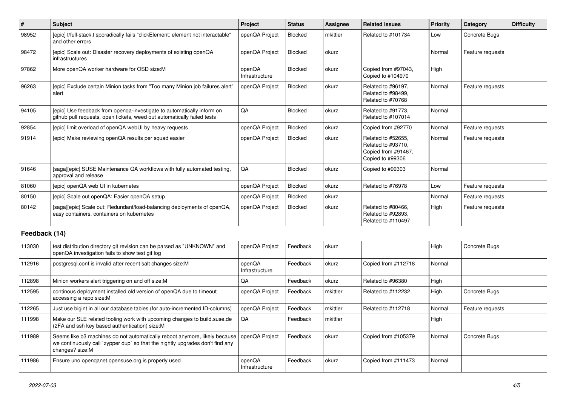| $\vert$ #     | Subject                                                                                                                                                                        | Project                  | <b>Status</b>  | <b>Assignee</b> | <b>Related issues</b>                                                               | <b>Priority</b> | Category         | <b>Difficulty</b> |
|---------------|--------------------------------------------------------------------------------------------------------------------------------------------------------------------------------|--------------------------|----------------|-----------------|-------------------------------------------------------------------------------------|-----------------|------------------|-------------------|
| 98952         | [epic] t/full-stack.t sporadically fails "clickElement: element not interactable"<br>and other errors                                                                          | openQA Project           | <b>Blocked</b> | mkittler        | Related to #101734                                                                  | Low             | Concrete Bugs    |                   |
| 98472         | [epic] Scale out: Disaster recovery deployments of existing openQA<br>infrastructures                                                                                          | openQA Project           | Blocked        | okurz           |                                                                                     | Normal          | Feature requests |                   |
| 97862         | More openQA worker hardware for OSD size:M                                                                                                                                     | openQA<br>Infrastructure | Blocked        | okurz           | Copied from #97043,<br>Copied to #104970                                            | High            |                  |                   |
| 96263         | [epic] Exclude certain Minion tasks from "Too many Minion job failures alert"<br>alert                                                                                         | openQA Project           | Blocked        | okurz           | Related to #96197,<br>Related to #98499.<br>Related to #70768                       | Normal          | Feature requests |                   |
| 94105         | [epic] Use feedback from openga-investigate to automatically inform on<br>github pull requests, open tickets, weed out automatically failed tests                              | QA                       | Blocked        | okurz           | Related to #91773,<br>Related to #107014                                            | Normal          |                  |                   |
| 92854         | [epic] limit overload of openQA webUI by heavy requests                                                                                                                        | openQA Project           | Blocked        | okurz           | Copied from #92770                                                                  | Normal          | Feature requests |                   |
| 91914         | [epic] Make reviewing openQA results per squad easier                                                                                                                          | openQA Project           | Blocked        | okurz           | Related to #52655,<br>Related to #93710,<br>Copied from #91467,<br>Copied to #99306 | Normal          | Feature requests |                   |
| 91646         | [saga][epic] SUSE Maintenance QA workflows with fully automated testing,<br>approval and release                                                                               | QA                       | Blocked        | okurz           | Copied to #99303                                                                    | Normal          |                  |                   |
| 81060         | [epic] openQA web UI in kubernetes                                                                                                                                             | openQA Project           | Blocked        | okurz           | Related to #76978                                                                   | Low             | Feature requests |                   |
| 80150         | [epic] Scale out openQA: Easier openQA setup                                                                                                                                   | openQA Project           | Blocked        | okurz           |                                                                                     | Normal          | Feature requests |                   |
| 80142         | [saga][epic] Scale out: Redundant/load-balancing deployments of openQA,<br>easy containers, containers on kubernetes                                                           | openQA Project           | Blocked        | okurz           | Related to #80466,<br>Related to #92893.<br>Related to #110497                      | High            | Feature requests |                   |
| Feedback (14) |                                                                                                                                                                                |                          |                |                 |                                                                                     |                 |                  |                   |
| 113030        | test distribution directory git revision can be parsed as "UNKNOWN" and<br>openQA investigation fails to show test git log                                                     | openQA Project           | Feedback       | okurz           |                                                                                     | High            | Concrete Bugs    |                   |
| 112916        | postgresql.conf is invalid after recent salt changes size: M                                                                                                                   | openQA<br>Infrastructure | Feedback       | okurz           | Copied from #112718                                                                 | Normal          |                  |                   |
| 112898        | Minion workers alert triggering on and off size:M                                                                                                                              | QA                       | Feedback       | okurz           | Related to #96380                                                                   | High            |                  |                   |
| 112595        | continous deployment installed old version of openQA due to timeout<br>accessing a repo size:M                                                                                 | openQA Project           | Feedback       | mkittler        | Related to #112232                                                                  | High            | Concrete Bugs    |                   |
| 112265        | Just use bigint in all our database tables (for auto-incremented ID-columns)                                                                                                   | openQA Project           | Feedback       | mkittler        | Related to #112718                                                                  | Normal          | Feature requests |                   |
| 111998        | Make our SLE related tooling work with upcoming changes to build.suse.de<br>(2FA and ssh key based authentication) size:M                                                      | QA                       | Feedback       | mkittler        |                                                                                     | High            |                  |                   |
| 111989        | Seems like o3 machines do not automatically reboot anymore, likely because<br>we continuously call 'zypper dup' so that the nightly upgrades don't find any<br>changes? size:M | openQA Project           | Feedback       | okurz           | Copied from #105379                                                                 | Normal          | Concrete Bugs    |                   |
| 111986        | Ensure uno.openqanet.opensuse.org is properly used                                                                                                                             | openQA<br>Infrastructure | Feedback       | okurz           | Copied from #111473                                                                 | Normal          |                  |                   |